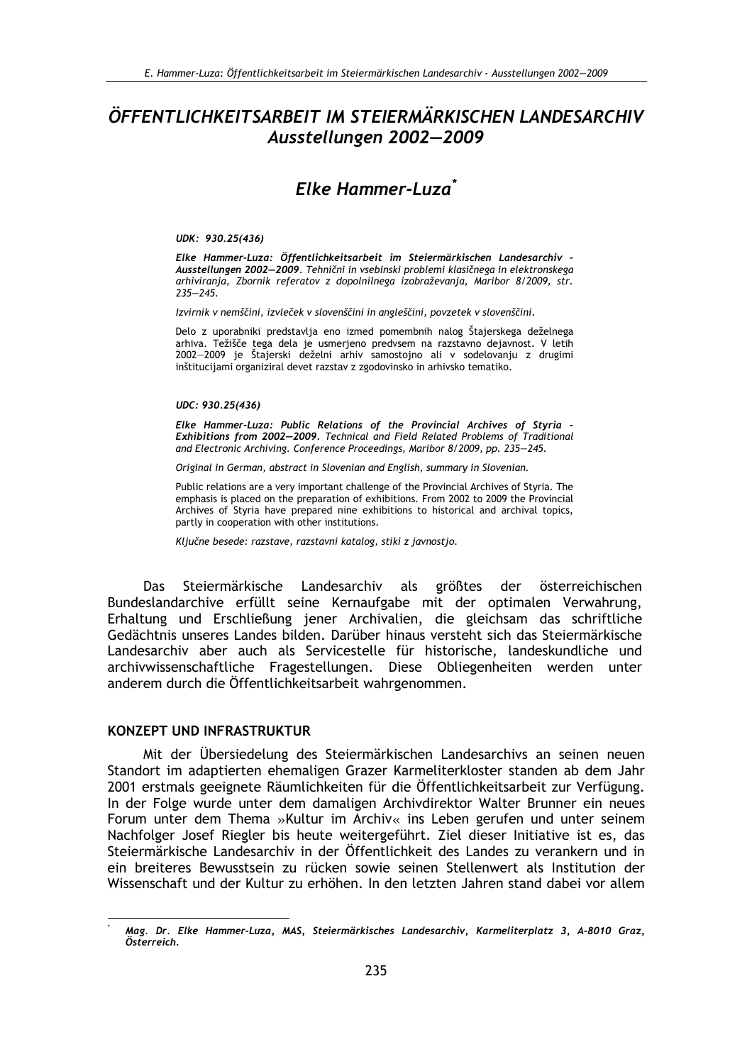# ÖFFENTLICHKEITSARBEIT IM STEIERMÄRKISCHEN LANDESARCHIV Ausstellungen 2002-2009

# Fike Hammer-Luza<sup>\*</sup>

### UDK: 930.25(436)

Elke Hammer-Luza: Öffentlichkeitsarbeit im Steiermärkischen Landesarchiv -Ausstellungen 2002-2009. Tehnični in vsebinski problemi klasičnega in elektronskega arhiviranja, Zbornik referatov z dopolnilnega izobraževanja, Maribor 8/2009, str.  $235 - 245.$ 

Izvirnik v nemščini, izvleček v slovenščini in angleščini, povzetek v slovenščini.

Delo z uporabniki predstavlja eno izmed pomembnih nalog Štajerskega deželnega arhiva. Težišče tega dela je usmerjeno predvsem na razstavno dejavnost. V letih 2002-2009 je Štajerski deželni arhiv samostojno ali v sodelovanju z drugimi inštitucijami organiziral devet razstav z zgodovinsko in arhivsko tematiko.

### UDC: 930.25(436)

Elke Hammer-Luza: Public Relations of the Provincial Archives of Styria Exhibitions from 2002-2009. Technical and Field Related Problems of Traditional and Electronic Archiving. Conference Proceedings, Maribor 8/2009, pp. 235-245.

Original in German, abstract in Slovenian and English, summary in Slovenian.

Public relations are a very important challenge of the Provincial Archives of Styria. The emphasis is placed on the preparation of exhibitions. From 2002 to 2009 the Provincial Archives of Styria have prepared nine exhibitions to historical and archival topics, partly in cooperation with other institutions.

Ključne besede: razstave, razstavni katalog, stiki z javnostjo.

Steiermärkische Landesarchiv als größtes der österreichischen Das Bundeslandarchive erfüllt seine Kernaufgabe mit der optimalen Verwahrung, Erhaltung und Erschließung jener Archivalien, die gleichsam das schriftliche Gedächtnis unseres Landes bilden. Darüber hinaus versteht sich das Steiermärkische Landesarchiv aber auch als Servicestelle für historische, landeskundliche und archivwissenschaftliche Fragestellungen. Diese Obliegenheiten werden unter anderem durch die Öffentlichkeitsarbeit wahrgenommen.

### **KONZEPT UND INFRASTRUKTUR**

Mit der Übersiedelung des Steiermärkischen Landesarchivs an seinen neuen Standort im adaptierten ehemaligen Grazer Karmeliterkloster standen ab dem Jahr 2001 erstmals geeignete Räumlichkeiten für die Öffentlichkeitsarbeit zur Verfügung. In der Folge wurde unter dem damaligen Archivdirektor Walter Brunner ein neues Forum unter dem Thema »Kultur im Archiv« ins Leben gerufen und unter seinem Nachfolger Josef Riegler bis heute weitergeführt. Ziel dieser Initiative ist es, das Steiermärkische Landesarchiv in der Öffentlichkeit des Landes zu verankern und in ein breiteres Bewusstsein zu rücken sowie seinen Stellenwert als Institution der Wissenschaft und der Kultur zu erhöhen. In den letzten Jahren stand dabei vor allem

Mag. Dr. Elke Hammer-Luza, MAS, Steiermärkisches Landesarchiv, Karmeliterplatz 3, A-8010 Graz, Österreich.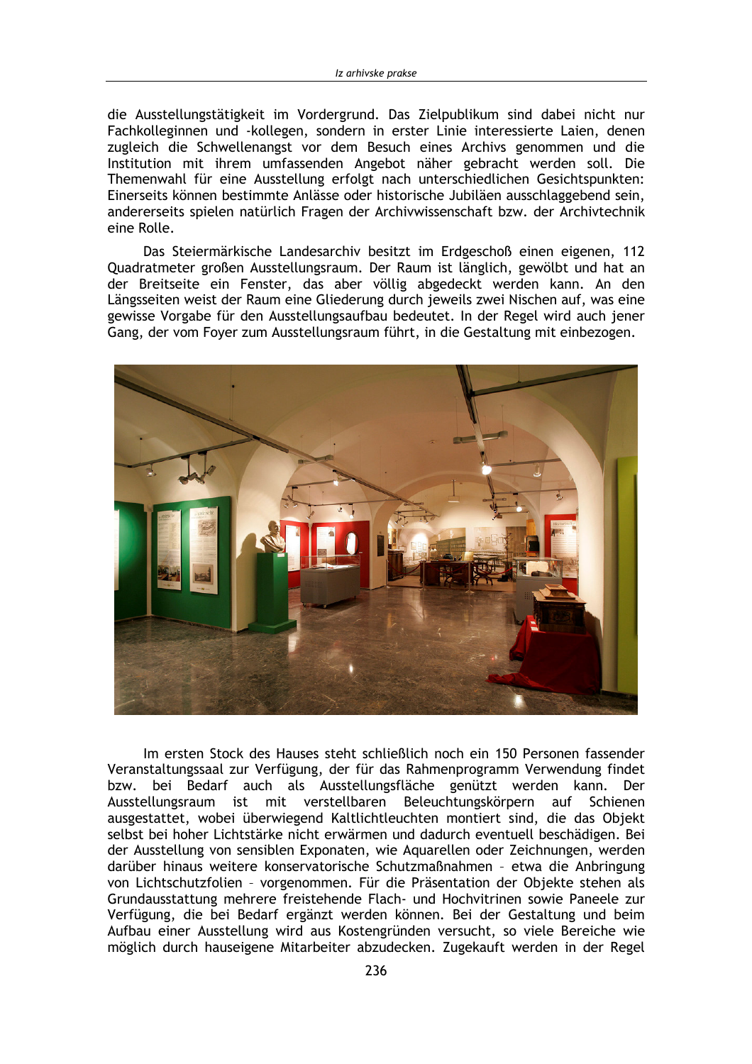die Ausstellungstätigkeit im Vordergrund. Das Zielpublikum sind dabei nicht nur Fachkolleginnen und -kollegen, sondern in erster Linie interessierte Laien, denen zugleich die Schwellenangst vor dem Besuch eines Archivs genommen und die Institution mit ihrem umfassenden Angebot näher gebracht werden soll. Die Themenwahl für eine Ausstellung erfolgt nach unterschiedlichen Gesichtspunkten: Einerseits können bestimmte Anlässe oder historische Jubiläen ausschlaggebend sein, andererseits spielen natürlich Fragen der Archivwissenschaft bzw. der Archivtechnik eine Rolle.

Das Steiermärkische Landesarchiv besitzt im Erdgeschoß einen eigenen, 112 Quadratmeter großen Ausstellungsraum. Der Raum ist länglich, gewölbt und hat an der Breitseite ein Fenster, das aber völlig abgedeckt werden kann. An den Längsseiten weist der Raum eine Gliederung durch jeweils zwei Nischen auf, was eine gewisse Vorgabe für den Ausstellungsaufbau bedeutet. In der Regel wird auch jener Gang, der vom Foyer zum Ausstellungsraum führt, in die Gestaltung mit einbezogen.



Im ersten Stock des Hauses steht schließlich noch ein 150 Personen fassender Veranstaltungssaal zur Verfügung, der für das Rahmenprogramm Verwendung findet bzw. bei Bedarf auch als Ausstellungsfläche genützt werden kann. Der Ausstellungsraum ist mit verstellbaren Beleuchtungskörpern auf Schienen ausgestattet, wobei überwiegend Kaltlichtleuchten montiert sind, die das Objekt selbst bei hoher Lichtstärke nicht erwärmen und dadurch eventuell beschädigen. Bei der Ausstellung von sensiblen Exponaten, wie Aquarellen oder Zeichnungen, werden darüber hinaus weitere konservatorische Schutzmaßnahmen - etwa die Anbringung von Lichtschutzfolien - vorgenommen. Für die Präsentation der Objekte stehen als Grundausstattung mehrere freistehende Flach- und Hochvitrinen sowie Paneele zur Verfügung, die bei Bedarf ergänzt werden können. Bei der Gestaltung und beim Aufbau einer Ausstellung wird aus Kostengründen versucht, so viele Bereiche wie möglich durch hauseigene Mitarbeiter abzudecken. Zugekauft werden in der Regel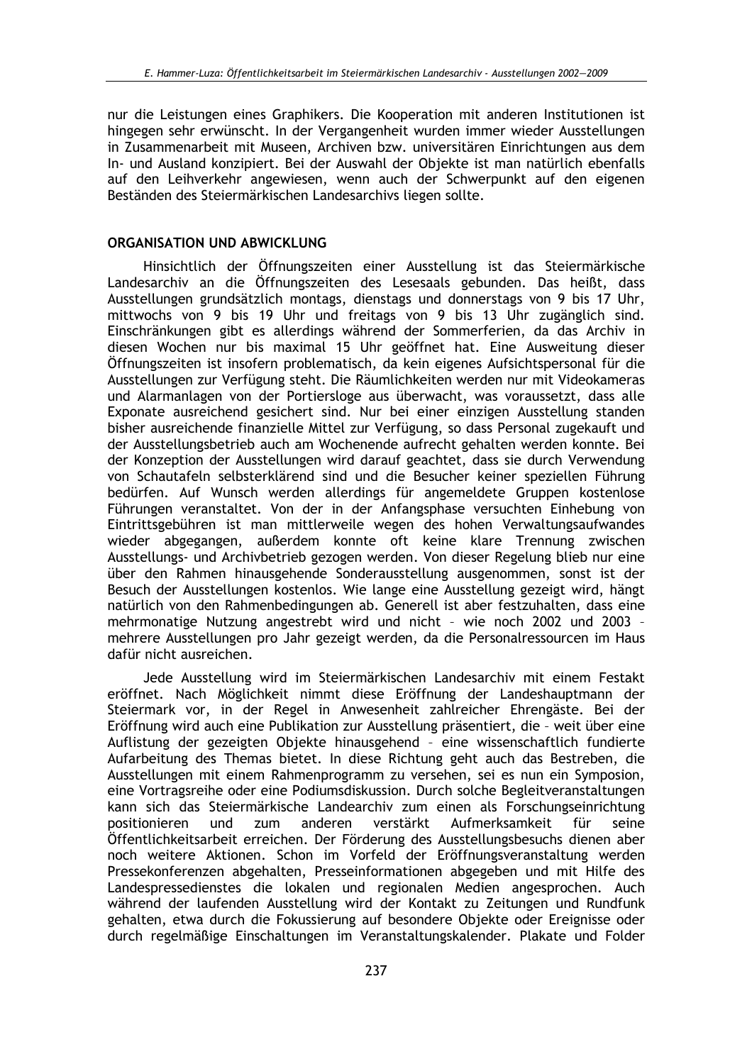nur die Leistungen eines Graphikers. Die Kooperation mit anderen Institutionen ist hingegen sehr erwünscht. In der Vergangenheit wurden immer wieder Ausstellungen in Zusammenarbeit mit Museen, Archiven bzw. universitären Einrichtungen aus dem In- und Ausland konzipiert. Bei der Auswahl der Obiekte ist man natürlich ebenfalls auf den Leihverkehr angewiesen, wenn auch der Schwerpunkt auf den eigenen Beständen des Steiermärkischen Landesarchivs liegen sollte.

## ORGANISATION UND ABWICKLUNG

Hinsichtlich der Öffnungszeiten einer Ausstellung ist das Steiermärkische Landesarchiv an die Öffnungszeiten des Lesesaals gebunden. Das heißt, dass Ausstellungen grundsätzlich montags, dienstags und donnerstags von 9 bis 17 Uhr, mittwochs von 9 bis 19 Uhr und freitags von 9 bis 13 Uhr zugänglich sind. Einschränkungen gibt es allerdings während der Sommerferien, da das Archiv in diesen Wochen nur bis maximal 15 Uhr geöffnet hat. Eine Ausweitung dieser Öffnungszeiten ist insofern problematisch, da kein eigenes Aufsichtspersonal für die Ausstellungen zur Verfügung steht. Die Räumlichkeiten werden nur mit Videokameras und Alarmanlagen von der Portiersloge aus überwacht, was voraussetzt, dass alle Exponate ausreichend gesichert sind. Nur bei einer einzigen Ausstellung standen bisher ausreichende finanzielle Mittel zur Verfügung, so dass Personal zugekauft und der Ausstellungsbetrieb auch am Wochenende aufrecht gehalten werden konnte. Bei der Konzeption der Ausstellungen wird darauf geachtet, dass sie durch Verwendung von Schautafeln selbsterklärend sind und die Besucher keiner speziellen Führung bedürfen. Auf Wunsch werden allerdings für angemeldete Gruppen kostenlose Führungen veranstaltet. Von der in der Anfangsphase versuchten Einhebung von Eintrittsgebühren ist man mittlerweile wegen des hohen Verwaltungsaufwandes wieder abgegangen, außerdem konnte oft keine klare Trennung zwischen Ausstellungs- und Archivbetrieb gezogen werden. Von dieser Regelung blieb nur eine über den Rahmen hinausgehende Sonderausstellung ausgenommen, sonst ist der Besuch der Ausstellungen kostenlos. Wie lange eine Ausstellung gezeigt wird, hängt natürlich von den Rahmenbedingungen ab. Generell ist aber festzuhalten, dass eine mehrmonatige Nutzung angestrebt wird und nicht - wie noch 2002 und 2003 mehrere Ausstellungen pro Jahr gezeigt werden, da die Personalressourcen im Haus dafür nicht ausreichen.

Jede Ausstellung wird im Steiermärkischen Landesarchiv mit einem Festakt eröffnet. Nach Möglichkeit nimmt diese Eröffnung der Landeshauptmann der Steiermark vor, in der Regel in Anwesenheit zahlreicher Ehrengäste. Bei der Eröffnung wird auch eine Publikation zur Ausstellung präsentiert, die - weit über eine Auflistung der gezeigten Objekte hinausgehend - eine wissenschaftlich fundierte Aufarbeitung des Themas bietet. In diese Richtung geht auch das Bestreben, die Ausstellungen mit einem Rahmenprogramm zu versehen, sei es nun ein Symposion, eine Vortragsreihe oder eine Podiumsdiskussion. Durch solche Begleitveranstaltungen kann sich das Steiermärkische Landearchiv zum einen als Forschungseinrichtung positionieren und anderen verstärkt Aufmerksamkeit für zum seine Öffentlichkeitsarbeit erreichen. Der Förderung des Ausstellungsbesuchs dienen aber noch weitere Aktionen. Schon im Vorfeld der Eröffnungsveranstaltung werden Pressekonferenzen abgehalten, Presseinformationen abgegeben und mit Hilfe des Landespressedienstes die lokalen und regionalen Medien angesprochen. Auch während der laufenden Ausstellung wird der Kontakt zu Zeitungen und Rundfunk gehalten, etwa durch die Fokussierung auf besondere Objekte oder Ereignisse oder durch regelmäßige Einschaltungen im Veranstaltungskalender. Plakate und Folder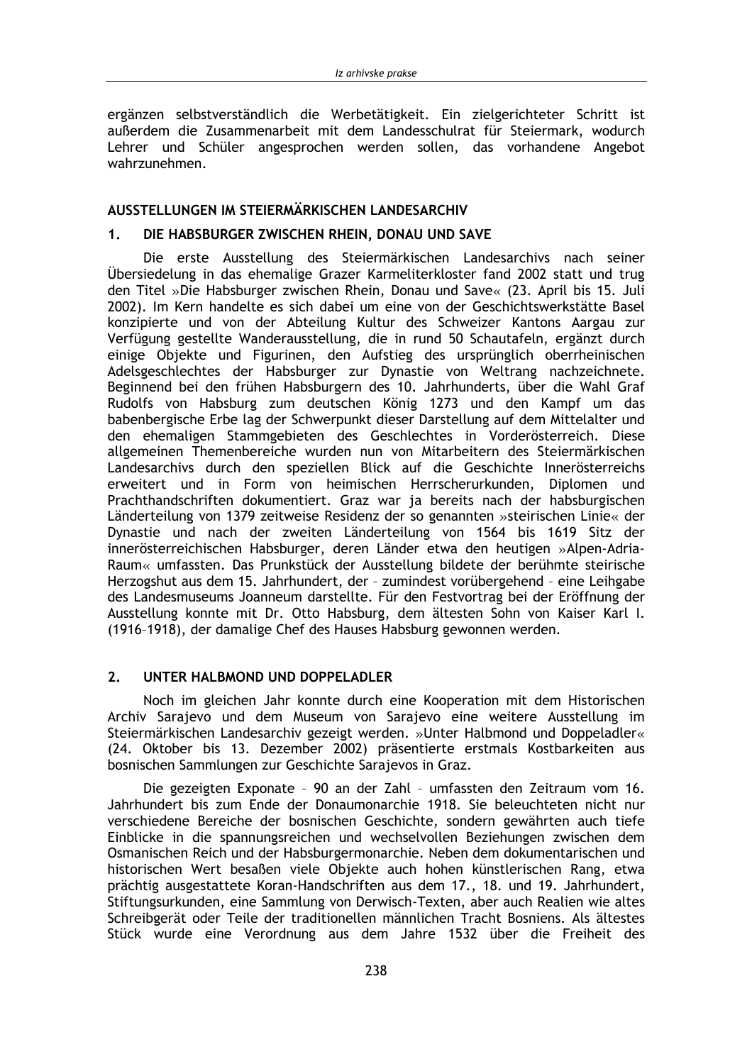ergänzen selbstverständlich die Werbetätigkeit. Ein zielgerichteter Schritt ist außerdem die Zusammenarbeit mit dem Landesschulrat für Steiermark, wodurch Lehrer und Schüler angesprochen werden sollen, das vorhandene Angebot wahrzunehmen.

## AUSSTELLUNGEN IM STEIERMÄRKISCHEN LANDESARCHIV

#### $1<sub>1</sub>$ DIE HABSBURGER ZWISCHEN RHEIN, DONAU UND SAVE

Die erste Ausstellung des Steiermärkischen Landesarchivs nach seiner Übersiedelung in das ehemalige Grazer Karmeliterkloster fand 2002 statt und trug den Titel »Die Habsburger zwischen Rhein, Donau und Save« (23. April bis 15. Juli 2002). Im Kern handelte es sich dabei um eine von der Geschichtswerkstätte Basel konzipierte und von der Abteilung Kultur des Schweizer Kantons Aargau zur Verfügung gestellte Wanderausstellung, die in rund 50 Schautafeln, ergänzt durch einige Objekte und Figurinen, den Aufstieg des ursprünglich oberrheinischen Adelsgeschlechtes der Habsburger zur Dynastie von Weltrang nachzeichnete. Beginnend bei den frühen Habsburgern des 10. Jahrhunderts, über die Wahl Graf Rudolfs von Habsburg zum deutschen König 1273 und den Kampf um das babenbergische Erbe lag der Schwerpunkt dieser Darstellung auf dem Mittelalter und den ehemaligen Stammgebieten des Geschlechtes in Vorderösterreich. Diese allgemeinen Themenbereiche wurden nun von Mitarbeitern des Steiermärkischen Landesarchivs durch den speziellen Blick auf die Geschichte Innerösterreichs erweitert und in Form von heimischen Herrscherurkunden, Diplomen und Prachthandschriften dokumentiert. Graz war ja bereits nach der habsburgischen Länderteilung von 1379 zeitweise Residenz der so genannten »steirischen Linie« der Dynastie und nach der zweiten Länderteilung von 1564 bis 1619 Sitz der innerösterreichischen Habsburger, deren Länder etwa den heutigen »Alpen-Adria-Raum« umfassten. Das Prunkstück der Ausstellung bildete der berühmte steirische Herzogshut aus dem 15. Jahrhundert, der - zumindest vorübergehend - eine Leihgabe des Landesmuseums Joanneum darstellte. Für den Festvortrag bei der Eröffnung der Ausstellung konnte mit Dr. Otto Habsburg, dem ältesten Sohn von Kaiser Karl I. (1916-1918), der damalige Chef des Hauses Habsburg gewonnen werden.

#### $2.$ UNTER HALBMOND UND DOPPELADLER

Noch im gleichen Jahr konnte durch eine Kooperation mit dem Historischen Archiv Sarajevo und dem Museum von Sarajevo eine weitere Ausstellung im Steiermärkischen Landesarchiv gezeigt werden. »Unter Halbmond und Doppeladler« (24. Oktober bis 13. Dezember 2002) präsentierte erstmals Kostbarkeiten aus bosnischen Sammlungen zur Geschichte Sarajevos in Graz.

Die gezeigten Exponate - 90 an der Zahl - umfassten den Zeitraum vom 16. Jahrhundert bis zum Ende der Donaumonarchie 1918. Sie beleuchteten nicht nur verschiedene Bereiche der bosnischen Geschichte, sondern gewährten auch tiefe Einblicke in die spannungsreichen und wechselvollen Beziehungen zwischen dem Osmanischen Reich und der Habsburgermonarchie. Neben dem dokumentarischen und historischen Wert besaßen viele Objekte auch hohen künstlerischen Rang, etwa prächtig ausgestattete Koran-Handschriften aus dem 17., 18. und 19. Jahrhundert, Stiftungsurkunden, eine Sammlung von Derwisch-Texten, aber auch Realien wie altes Schreibgerät oder Teile der traditionellen männlichen Tracht Bosniens. Als ältestes Stück wurde eine Verordnung aus dem Jahre 1532 über die Freiheit des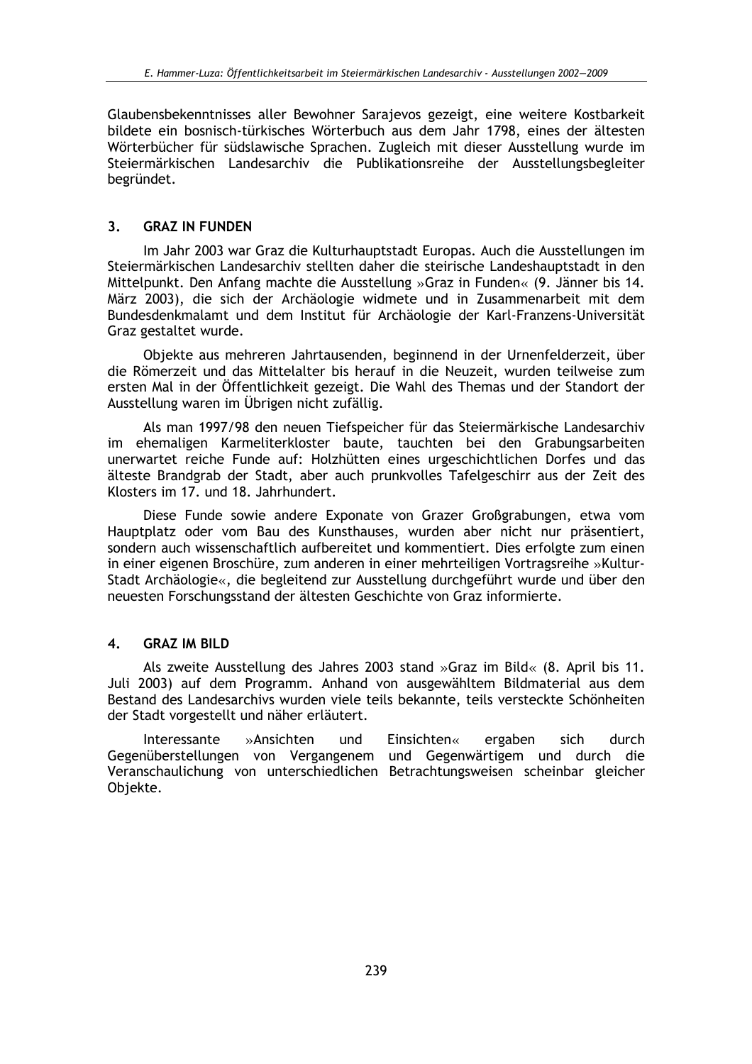Glaubensbekenntnisses aller Bewohner Sarajevos gezeigt, eine weitere Kostbarkeit bildete ein bosnisch-türkisches Wörterbuch aus dem Jahr 1798, eines der ältesten Wörterbücher für südslawische Sprachen. Zugleich mit dieser Ausstellung wurde im Steiermärkischen Landesarchiv die Publikationsreihe der Ausstellungsbegleiter begründet.

#### $3.$ **GRAZ IN FUNDEN**

Im Jahr 2003 war Graz die Kulturhauptstadt Europas. Auch die Ausstellungen im Steiermärkischen Landesarchiv stellten daher die steirische Landeshauptstadt in den Mittelpunkt. Den Anfang machte die Ausstellung »Graz in Funden« (9. Jänner bis 14. März 2003), die sich der Archäologie widmete und in Zusammenarbeit mit dem Bundesdenkmalamt und dem Institut für Archäologie der Karl-Franzens-Universität Graz gestaltet wurde.

Objekte aus mehreren Jahrtausenden, beginnend in der Urnenfelderzeit, über die Römerzeit und das Mittelalter bis herauf in die Neuzeit, wurden teilweise zum ersten Mal in der Öffentlichkeit gezeigt. Die Wahl des Themas und der Standort der Ausstellung waren im Übrigen nicht zufällig.

Als man 1997/98 den neuen Tiefspeicher für das Steiermärkische Landesarchiv im ehemaligen Karmeliterkloster baute, tauchten bei den Grabungsarbeiten unerwartet reiche Funde auf: Holzhütten eines urgeschichtlichen Dorfes und das älteste Brandgrab der Stadt, aber auch prunkvolles Tafelgeschirr aus der Zeit des Klosters im 17. und 18. Jahrhundert.

Diese Funde sowie andere Exponate von Grazer Großgrabungen, etwa vom Hauptplatz oder vom Bau des Kunsthauses, wurden aber nicht nur präsentiert, sondern auch wissenschaftlich aufbereitet und kommentiert. Dies erfolgte zum einen in einer eigenen Broschüre, zum anderen in einer mehrteiligen Vortragsreihe »Kultur-Stadt Archäologie«, die begleitend zur Ausstellung durchgeführt wurde und über den neuesten Forschungsstand der ältesten Geschichte von Graz informierte.

#### **GRAZ IM BILD**  $\overline{\mathbf{A}}$

Als zweite Ausstellung des Jahres 2003 stand »Graz im Bild«  $(8.$  April bis 11. Juli 2003) auf dem Programm. Anhand von ausgewähltem Bildmaterial aus dem Bestand des Landesarchivs wurden viele teils bekannte, teils versteckte Schönheiten der Stadt vorgestellt und näher erläutert.

Interessante »Ansichten und Einsichten« sich durch ergaben Gegenüberstellungen von Vergangenem und Gegenwärtigem und durch die Veranschaulichung von unterschiedlichen Betrachtungsweisen scheinbar gleicher Objekte.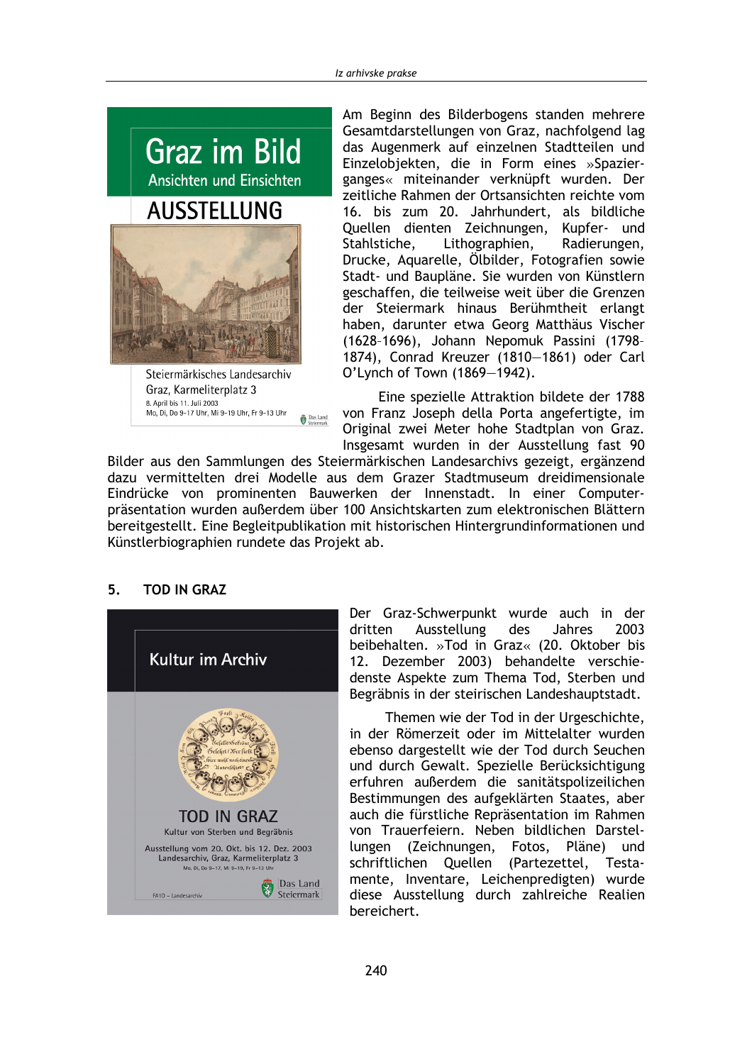

Graz, Karmeliterplatz 3 8. April bis 11. Juli 2003 Mo. Di. Do 9-17 Uhr. Mi 9-19 Uhr. Fr 9-13 Uhr Das Land Am Beginn des Bilderbogens standen mehrere Gesamtdarstellungen von Graz, nachfolgend lag das Augenmerk auf einzelnen Stadtteilen und Einzelobjekten, die in Form eines »Spazierganges« miteinander verknüpft wurden. Der zeitliche Rahmen der Ortsansichten reichte vom 16. bis zum 20. Jahrhundert, als bildliche Quellen dienten Zeichnungen, Kupfer- und Stahlstiche, Lithographien, Radierungen, Drucke, Aquarelle, Ölbilder, Fotografien sowie Stadt- und Baupläne. Sie wurden von Künstlern geschaffen, die teilweise weit über die Grenzen der Steiermark hinaus Berühmtheit erlangt haben, darunter etwa Georg Matthäus Vischer (1628-1696), Johann Nepomuk Passini (1798-1874), Conrad Kreuzer (1810-1861) oder Carl O'Lynch of Town (1869-1942).

Eine spezielle Attraktion bildete der 1788 von Franz Joseph della Porta angefertigte, im Original zwei Meter hohe Stadtplan von Graz. Insgesamt wurden in der Ausstellung fast 90

Bilder aus den Sammlungen des Steiermärkischen Landesarchivs gezeigt, ergänzend dazu vermittelten drei Modelle aus dem Grazer Stadtmuseum dreidimensionale Eindrücke von prominenten Bauwerken der Innenstadt. In einer Computerpräsentation wurden außerdem über 100 Ansichtskarten zum elektronischen Blättern bereitgestellt. Eine Begleitpublikation mit historischen Hintergrundinformationen und Künstlerbiographien rundete das Projekt ab.

#### 5. **TOD IN GRAZ**



Der Graz-Schwerpunkt wurde auch in der dritten Ausstellung des Jahres 2003 beibehalten, »Tod in Graz« (20. Oktober bis 12. Dezember 2003) behandelte verschiedenste Aspekte zum Thema Tod, Sterben und Begräbnis in der steirischen Landeshauptstadt.

Themen wie der Tod in der Urgeschichte, in der Römerzeit oder im Mittelalter wurden ebenso dargestellt wie der Tod durch Seuchen und durch Gewalt. Spezielle Berücksichtigung erfuhren außerdem die sanitätspolizeilichen Bestimmungen des aufgeklärten Staates, aber auch die fürstliche Repräsentation im Rahmen von Trauerfeiern. Neben bildlichen Darstellungen (Zeichnungen, Fotos, Pläne) und schriftlichen Quellen (Partezettel, Testamente, Inventare, Leichenpredigten) wurde diese Ausstellung durch zahlreiche Realien bereichert.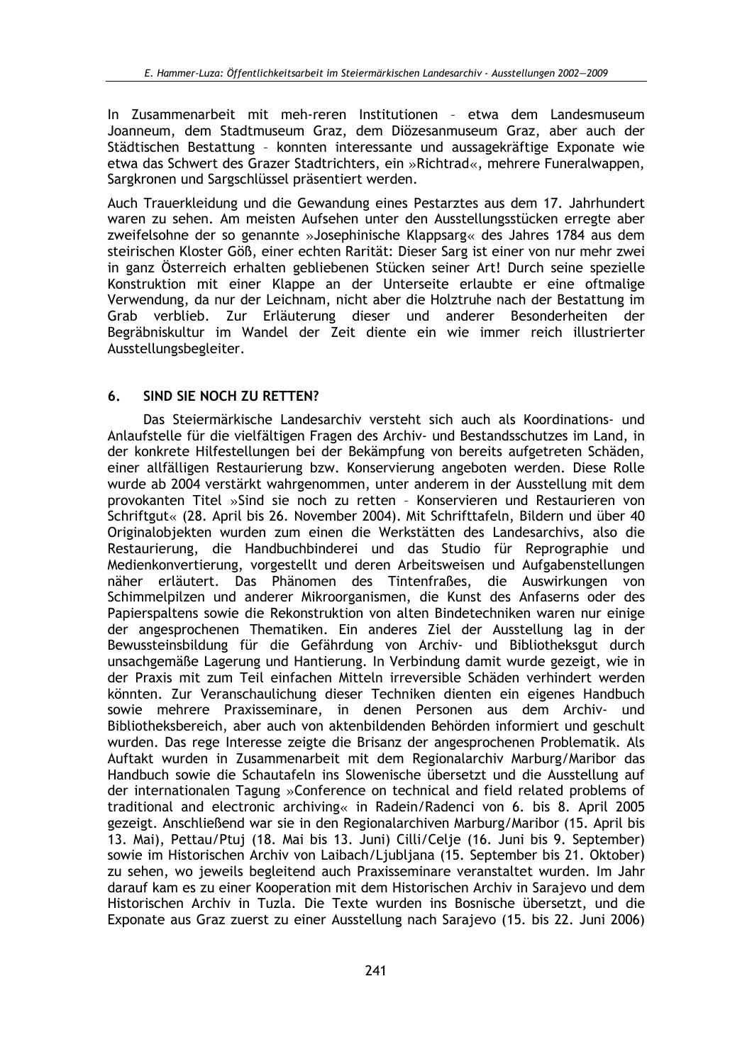In Zusammenarbeit mit meh-reren Institutionen - etwa dem Landesmuseum Joanneum, dem Stadtmuseum Graz, dem Diözesanmuseum Graz, aber auch der Städtischen Bestattung - konnten interessante und aussagekräftige Exponate wie etwa das Schwert des Grazer Stadtrichters, ein »Richtrad«, mehrere Funeralwappen, Sargkronen und Sargschlüssel präsentiert werden.

Auch Trauerkleidung und die Gewandung eines Pestarztes aus dem 17. Jahrhundert waren zu sehen. Am meisten Aufsehen unter den Ausstellungsstücken erregte aber zweifelsohne der so genannte »Josephinische Klappsarg« des Jahres 1784 aus dem steirischen Kloster Göß, einer echten Rarität: Dieser Sarg ist einer von nur mehr zwei in ganz Österreich erhalten gebliebenen Stücken seiner Art! Durch seine spezielle Konstruktion mit einer Klappe an der Unterseite erlaubte er eine oftmalige Verwendung, da nur der Leichnam, nicht aber die Holztruhe nach der Bestattung im verblieb. Zur Erläuterung dieser und anderer Besonderheiten der Grab Begräbniskultur im Wandel der Zeit diente ein wie immer reich illustrierter Ausstellungsbegleiter.

#### SIND SIE NOCH ZU RETTEN? 6.

Das Steiermärkische Landesarchiv versteht sich auch als Koordinations- und Anlaufstelle für die vielfältigen Fragen des Archiv- und Bestandsschutzes im Land, in der konkrete Hilfestellungen bei der Bekämpfung von bereits aufgetreten Schäden, einer allfälligen Restaurierung bzw. Konservierung angeboten werden. Diese Rolle wurde ab 2004 verstärkt wahrgenommen, unter anderem in der Ausstellung mit dem provokanten Titel »Sind sie noch zu retten - Konservieren und Restaurieren von Schriftgut« (28. April bis 26. November 2004). Mit Schrifttafeln, Bildern und über 40 Originalobjekten wurden zum einen die Werkstätten des Landesarchivs, also die Restaurierung, die Handbuchbinderei und das Studio für Reprographie und Medienkonvertierung, vorgestellt und deren Arbeitsweisen und Aufgabenstellungen näher erläutert. Das Phänomen des Tintenfraßes, die Auswirkungen von Schimmelpilzen und anderer Mikroorganismen, die Kunst des Anfaserns oder des Papierspaltens sowie die Rekonstruktion von alten Bindetechniken waren nur einige der angesprochenen Thematiken. Ein anderes Ziel der Ausstellung lag in der Bewussteinsbildung für die Gefährdung von Archiv- und Bibliotheksgut durch unsachgemäße Lagerung und Hantierung. In Verbindung damit wurde gezeigt, wie in der Praxis mit zum Teil einfachen Mitteln irreversible Schäden verhindert werden könnten. Zur Veranschaulichung dieser Techniken dienten ein eigenes Handbuch sowie mehrere Praxisseminare, in denen Personen aus dem Archiv- und Bibliotheksbereich, aber auch von aktenbildenden Behörden informiert und geschult wurden. Das rege Interesse zeigte die Brisanz der angesprochenen Problematik. Als Auftakt wurden in Zusammenarbeit mit dem Regionalarchiv Marburg/Maribor das Handbuch sowie die Schautafeln ins Slowenische übersetzt und die Ausstellung auf der internationalen Tagung »Conference on technical and field related problems of traditional and electronic archiving« in Radein/Radenci von 6. bis 8. April 2005 gezeigt. Anschließend war sie in den Regionalarchiven Marburg/Maribor (15. April bis 13. Mai), Pettau/Ptuj (18. Mai bis 13. Juni) Cilli/Celie (16. Juni bis 9. September) sowie im Historischen Archiv von Laibach/Ljubliana (15. September bis 21. Oktober) zu sehen, wo jeweils begleitend auch Praxisseminare veranstaltet wurden. Im Jahr darauf kam es zu einer Kooperation mit dem Historischen Archiv in Sarajevo und dem Historischen Archiv in Tuzla. Die Texte wurden ins Bosnische übersetzt, und die Exponate aus Graz zuerst zu einer Ausstellung nach Sarajevo (15. bis 22. Juni 2006)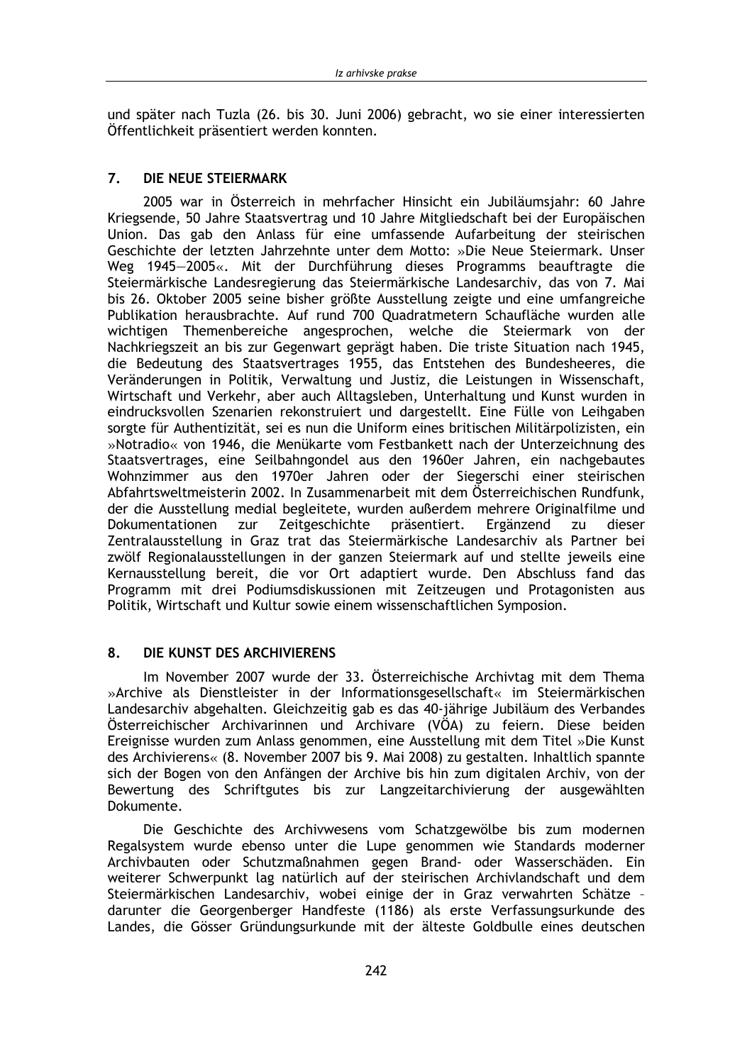und später nach Tuzla (26. bis 30. Juni 2006) gebracht, wo sie einer interessierten Öffentlichkeit präsentiert werden konnten.

#### $\overline{7}$ DIE NEUE STEIERMARK

2005 war in Österreich in mehrfacher Hinsicht ein Jubiläumsjahr: 60 Jahre Kriegsende, 50 Jahre Staatsvertrag und 10 Jahre Mitgliedschaft bei der Europäischen Union. Das gab den Anlass für eine umfassende Aufarbeitung der steirischen Geschichte der letzten Jahrzehnte unter dem Motto: »Die Neue Steiermark. Unser Weg 1945-2005«. Mit der Durchführung dieses Programms beauftragte die Steiermärkische Landesregierung das Steiermärkische Landesarchiv, das von 7. Mai bis 26. Oktober 2005 seine bisher größte Ausstellung zeigte und eine umfangreiche Publikation herausbrachte. Auf rund 700 Quadratmetern Schaufläche wurden alle wichtigen Themenbereiche angesprochen, welche die Steiermark von der Nachkriegszeit an bis zur Gegenwart geprägt haben. Die triste Situation nach 1945, die Bedeutung des Staatsvertrages 1955, das Entstehen des Bundesheeres, die Veränderungen in Politik, Verwaltung und Justiz, die Leistungen in Wissenschaft, Wirtschaft und Verkehr, aber auch Alltagsleben, Unterhaltung und Kunst wurden in eindrucksvollen Szenarien rekonstruiert und dargestellt. Eine Fülle von Leihgaben sorgte für Authentizität, sei es nun die Uniform eines britischen Militärpolizisten, ein »Notradio« von 1946, die Menükarte vom Festbankett nach der Unterzeichnung des Staatsvertrages, eine Seilbahngondel aus den 1960er Jahren, ein nachgebautes Wohnzimmer aus den 1970er Jahren oder der Siegerschi einer steirischen Abfahrtsweltmeisterin 2002. In Zusammenarbeit mit dem Österreichischen Rundfunk. der die Ausstellung medial begleitete, wurden außerdem mehrere Originalfilme und Dokumentationen zur Zeitgeschichte präsentiert. Ergänzend zu dieser Zentralausstellung in Graz trat das Steiermärkische Landesarchiv als Partner bei zwölf Regionalausstellungen in der ganzen Steiermark auf und stellte jeweils eine Kernausstellung bereit, die vor Ort adaptiert wurde. Den Abschluss fand das Programm mit drei Podiumsdiskussionen mit Zeitzeugen und Protagonisten aus Politik, Wirtschaft und Kultur sowie einem wissenschaftlichen Symposion.

#### 8. DIE KUNST DES ARCHIVIERENS

Im November 2007 wurde der 33. Österreichische Archivtag mit dem Thema »Archive als Dienstleister in der Informationsgesellschaft« im Steiermärkischen Landesarchiv abgehalten. Gleichzeitig gab es das 40-jährige Jubiläum des Verbandes Österreichischer Archivarinnen und Archivare (VÖA) zu feiern. Diese beiden Ereignisse wurden zum Anlass genommen, eine Ausstellung mit dem Titel »Die Kunst des Archivierens« (8. November 2007 bis 9. Mai 2008) zu gestalten. Inhaltlich spannte sich der Bogen von den Anfängen der Archive bis hin zum digitalen Archiv, von der Bewertung des Schriftgutes bis zur Langzeitarchivierung der ausgewählten Dokumente.

Die Geschichte des Archivwesens vom Schatzgewölbe bis zum modernen Regalsystem wurde ebenso unter die Lupe genommen wie Standards moderner Archivbauten oder Schutzmaßnahmen gegen Brand- oder Wasserschäden. Ein weiterer Schwerpunkt lag natürlich auf der steirischen Archivlandschaft und dem Steiermärkischen Landesarchiv, wobei einige der in Graz verwahrten Schätze darunter die Georgenberger Handfeste (1186) als erste Verfassungsurkunde des Landes, die Gösser Gründungsurkunde mit der älteste Goldbulle eines deutschen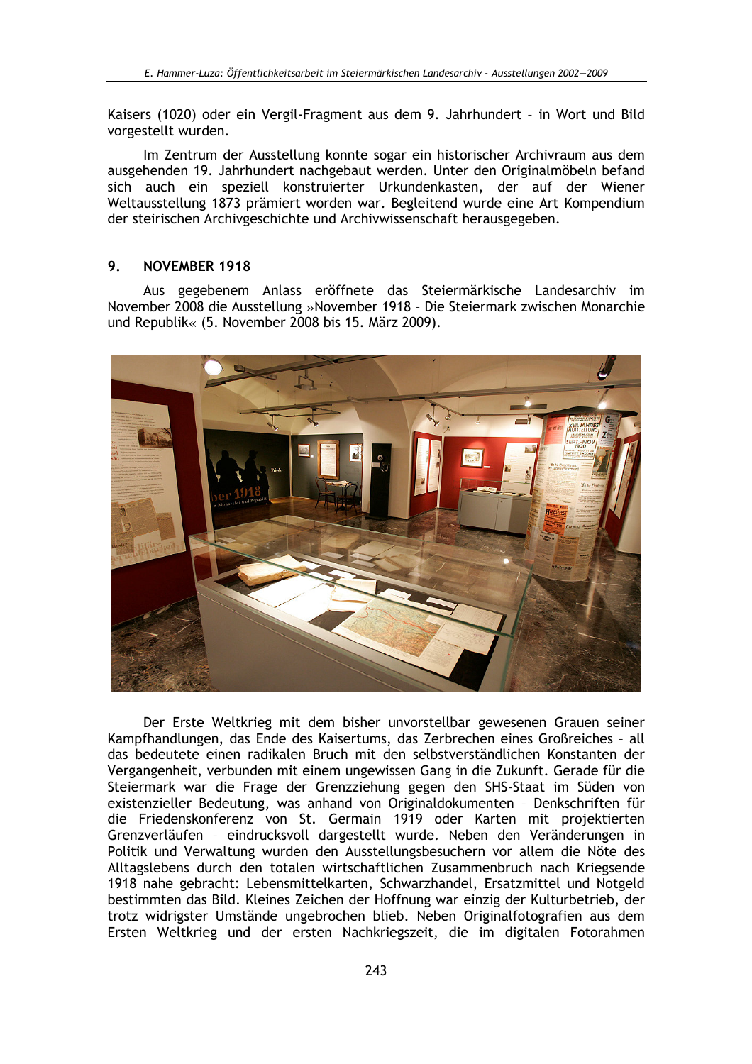Kaisers (1020) oder ein Vergil-Fragment aus dem 9. Jahrhundert - in Wort und Bild vorgestellt wurden.

Im Zentrum der Ausstellung konnte sogar ein historischer Archivraum aus dem ausgehenden 19. Jahrhundert nachgebaut werden. Unter den Originalmöbeln befand sich auch ein speziell konstruierter Urkundenkasten, der auf der Wiener Weltausstellung 1873 prämiert worden war. Begleitend wurde eine Art Kompendium der steirischen Archivgeschichte und Archivwissenschaft herausgegeben.

#### 9. **NOVEMBER 1918**

Aus gegebenem Anlass eröffnete das Steiermärkische Landesarchiv im November 2008 die Ausstellung »November 1918 - Die Steiermark zwischen Monarchie und Republik« (5. November 2008 bis 15. März 2009).



Der Erste Weltkrieg mit dem bisher unvorstellbar gewesenen Grauen seiner Kampfhandlungen, das Ende des Kaisertums, das Zerbrechen eines Großreiches - all das bedeutete einen radikalen Bruch mit den selbstverständlichen Konstanten der Vergangenheit, verbunden mit einem ungewissen Gang in die Zukunft. Gerade für die Steiermark war die Frage der Grenzziehung gegen den SHS-Staat im Süden von existenzieller Bedeutung, was anhand von Originaldokumenten - Denkschriften für die Friedenskonferenz von St. Germain 1919 oder Karten mit projektierten Grenzverläufen - eindrucksvoll dargestellt wurde. Neben den Veränderungen in Politik und Verwaltung wurden den Ausstellungsbesuchern vor allem die Nöte des Alltagslebens durch den totalen wirtschaftlichen Zusammenbruch nach Kriegsende 1918 nahe gebracht: Lebensmittelkarten, Schwarzhandel, Ersatzmittel und Notgeld bestimmten das Bild. Kleines Zeichen der Hoffnung war einzig der Kulturbetrieb, der trotz widrigster Umstände ungebrochen blieb. Neben Originalfotografien aus dem Ersten Weltkrieg und der ersten Nachkriegszeit, die im digitalen Fotorahmen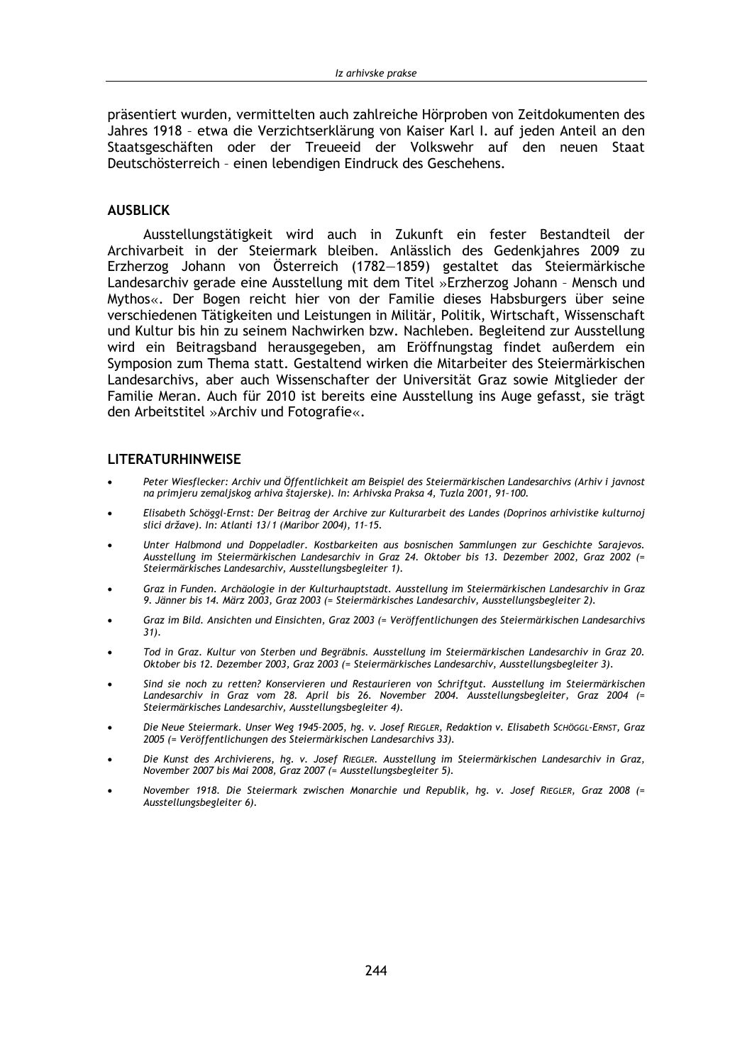präsentiert wurden, vermittelten auch zahlreiche Hörproben von Zeitdokumenten des Jahres 1918 - etwa die Verzichtserklärung von Kaiser Karl I. auf jeden Anteil an den Staatsgeschäften oder der Treueeid der Volkswehr auf den neuen Staat Deutschösterreich - einen lebendigen Eindruck des Geschehens.

### **AUSBLICK**

Ausstellungstätigkeit wird auch in Zukunft ein fester Bestandteil der Archivarbeit in der Steiermark bleiben. Anlässlich des Gedenkjahres 2009 zu Erzherzog Johann von Österreich (1782-1859) gestaltet das Steiermärkische Landesarchiv gerade eine Ausstellung mit dem Titel »Erzherzog Johann - Mensch und Mythos«. Der Bogen reicht hier von der Familie dieses Habsburgers über seine verschiedenen Tätigkeiten und Leistungen in Militär, Politik, Wirtschaft, Wissenschaft und Kultur bis hin zu seinem Nachwirken bzw. Nachleben. Begleitend zur Ausstellung wird ein Beitragsband herausgegeben, am Eröffnungstag findet außerdem ein Symposion zum Thema statt. Gestaltend wirken die Mitarbeiter des Steiermärkischen Landesarchivs, aber auch Wissenschafter der Universität Graz sowie Mitglieder der Familie Meran. Auch für 2010 ist bereits eine Ausstellung ins Auge gefasst, sie trägt den Arbeitstitel »Archiv und Fotografie«.

### **LITERATURHINWEISE**

- Peter Wiesflecker: Archiv und Öffentlichkeit am Beispiel des Steiermärkischen Landesarchivs (Arhiv i javnost na primjeru zemaljskog arhiva štajerske). In: Arhivska Praksa 4, Tuzla 2001, 91-100.
- Elisabeth Schöggl-Ernst: Der Beitrag der Archive zur Kulturarbeit des Landes (Doprinos arhivistike kulturnoj slici države). In: Atlanti 13/1 (Maribor 2004), 11-15.
- Unter Halbmond und Doppeladler. Kostbarkeiten aus bosnischen Sammlungen zur Geschichte Sarajevos. Ausstellung im Steiermärkischen Landesarchiv in Graz 24. Oktober bis 13. Dezember 2002, Graz 2002 (= Steiermärkisches Landesarchiv, Ausstellungsbegleiter 1).
- Graz in Funden. Archäologie in der Kulturhauptstadt. Ausstellung im Steiermärkischen Landesarchiv in Graz 9. Jänner bis 14. März 2003, Graz 2003 (= Steiermärkisches Landesarchiv, Ausstellungsbegleiter 2).
- Graz im Bild. Ansichten und Einsichten, Graz 2003 (= Veröffentlichungen des Steiermärkischen Landesarchivs  $31.$
- Tod in Graz. Kultur von Sterben und Begräbnis. Ausstellung im Steiermärkischen Landesarchiv in Graz 20. Oktober bis 12. Dezember 2003, Graz 2003 (= Steiermärkisches Landesarchiv, Ausstellungsbegleiter 3).
- Sind sie noch zu retten? Konservieren und Restaurieren von Schriftgut. Ausstellung im Steiermärkischen Landesarchiv in Graz vom 28. April bis 26. November 2004. Ausstellungsbegleiter, Graz 2004 (= Steiermärkisches Landesarchiv, Ausstellungsbegleiter 4).
- Die Neue Steiermark. Unser Weg 1945-2005, hg. v. Josef RIEGLER, Redaktion v. Elisabeth SCHÖGGL-ERNST, Graz 2005 (= Veröffentlichungen des Steiermärkischen Landesarchivs 33).
- Die Kunst des Archivierens, hg. v. Josef RIEGLER. Ausstellung im Steiermärkischen Landesarchiv in Graz, November 2007 bis Mai 2008, Graz 2007 (= Ausstellungsbegleiter 5).
- November 1918. Die Steiermark zwischen Monarchie und Republik, hg. v. Josef RIEGLER, Graz 2008 (= Ausstellungsbegleiter 6).